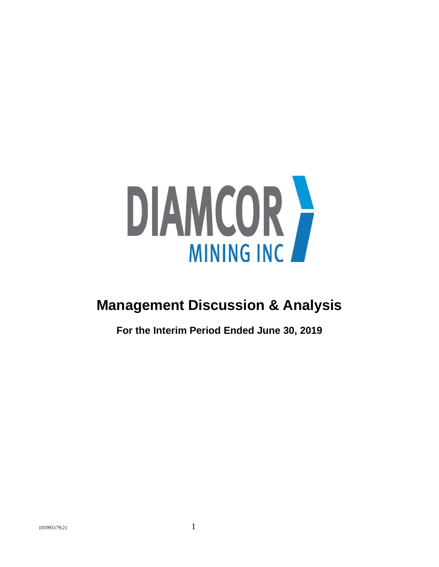

# **Management Discussion & Analysis**

**For the Interim Period Ended June 30, 2019**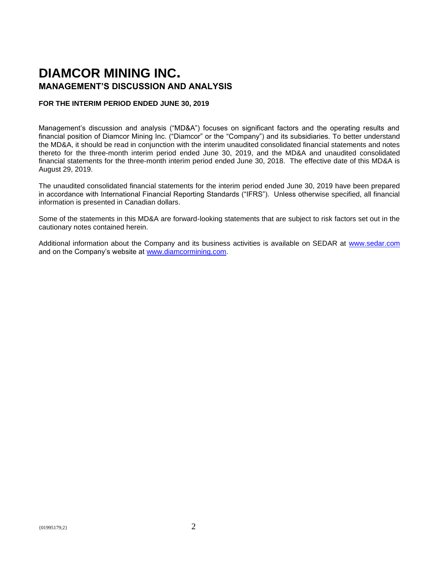## **DIAMCOR MINING INC. MANAGEMENT'S DISCUSSION AND ANALYSIS**

## **FOR THE INTERIM PERIOD ENDED JUNE 30, 2019**

Management's discussion and analysis ("MD&A") focuses on significant factors and the operating results and financial position of Diamcor Mining Inc. ("Diamcor" or the "Company") and its subsidiaries. To better understand the MD&A, it should be read in conjunction with the interim unaudited consolidated financial statements and notes thereto for the three-month interim period ended June 30, 2019, and the MD&A and unaudited consolidated financial statements for the three-month interim period ended June 30, 2018. The effective date of this MD&A is August 29, 2019.

The unaudited consolidated financial statements for the interim period ended June 30, 2019 have been prepared in accordance with International Financial Reporting Standards ("IFRS"). Unless otherwise specified, all financial information is presented in Canadian dollars.

Some of the statements in this MD&A are forward-looking statements that are subject to risk factors set out in the cautionary notes contained herein.

Additional information about the Company and its business activities is available on SEDAR at [www.sedar.com](http://www.sedar.com/) and on the Company's website at [www.diamcormining.com.](http://www.diamcormining.com/)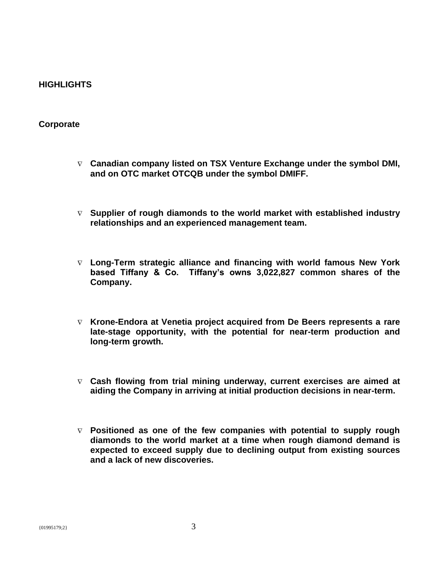## **HIGHLIGHTS**

## **Corporate**

- **Canadian company listed on TSX Venture Exchange under the symbol DMI, and on OTC market OTCQB under the symbol DMIFF.**
- **Supplier of rough diamonds to the world market with established industry relationships and an experienced management team.**
- **Long-Term strategic alliance and financing with world famous New York based Tiffany & Co. Tiffany's owns 3,022,827 common shares of the Company.**
- **Krone-Endora at Venetia project acquired from De Beers represents a rare late-stage opportunity, with the potential for near-term production and long-term growth.**
- **Cash flowing from trial mining underway, current exercises are aimed at aiding the Company in arriving at initial production decisions in near-term.**
- **Positioned as one of the few companies with potential to supply rough diamonds to the world market at a time when rough diamond demand is expected to exceed supply due to declining output from existing sources and a lack of new discoveries.**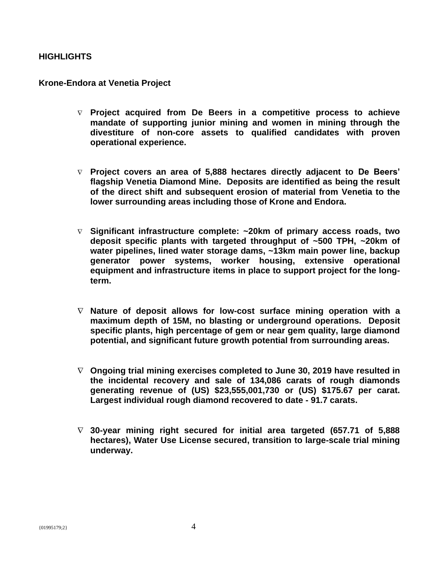## **HIGHLIGHTS**

## **Krone-Endora at Venetia Project**

- **Project acquired from De Beers in a competitive process to achieve mandate of supporting junior mining and women in mining through the divestiture of non-core assets to qualified candidates with proven operational experience.**
- **Project covers an area of 5,888 hectares directly adjacent to De Beers' flagship Venetia Diamond Mine. Deposits are identified as being the result of the direct shift and subsequent erosion of material from Venetia to the lower surrounding areas including those of Krone and Endora.**
- **Significant infrastructure complete: ~20km of primary access roads, two deposit specific plants with targeted throughput of ~500 TPH, ~20km of water pipelines, lined water storage dams, ~13km main power line, backup generator power systems, worker housing, extensive operational equipment and infrastructure items in place to support project for the longterm.**
- **Nature of deposit allows for low-cost surface mining operation with a maximum depth of 15M, no blasting or underground operations. Deposit specific plants, high percentage of gem or near gem quality, large diamond potential, and significant future growth potential from surrounding areas.**
- **Ongoing trial mining exercises completed to June 30, 2019 have resulted in the incidental recovery and sale of 134,086 carats of rough diamonds generating revenue of (US) \$23,555,001,730 or (US) \$175.67 per carat. Largest individual rough diamond recovered to date - 91.7 carats.**
- **30-year mining right secured for initial area targeted (657.71 of 5,888 hectares), Water Use License secured, transition to large-scale trial mining underway.**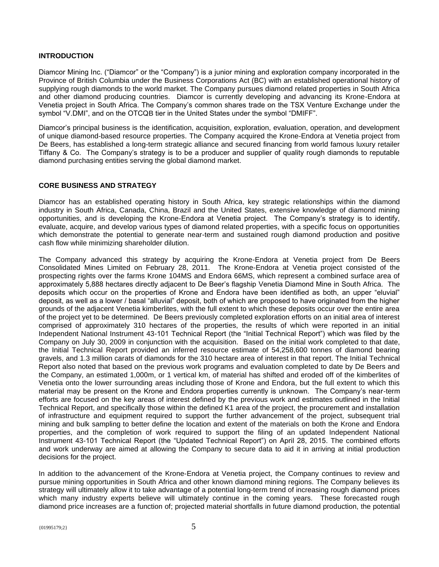## **INTRODUCTION**

Diamcor Mining Inc. ("Diamcor" or the "Company") is a junior mining and exploration company incorporated in the Province of British Columbia under the Business Corporations Act (BC) with an established operational history of supplying rough diamonds to the world market. The Company pursues diamond related properties in South Africa and other diamond producing countries. Diamcor is currently developing and advancing its Krone-Endora at Venetia project in South Africa. The Company's common shares trade on the TSX Venture Exchange under the symbol "V.DMI", and on the OTCQB tier in the United States under the symbol "DMIFF".

Diamcor's principal business is the identification, acquisition, exploration, evaluation, operation, and development of unique diamond-based resource properties. The Company acquired the Krone-Endora at Venetia project from De Beers, has established a long-term strategic alliance and secured financing from world famous luxury retailer Tiffany & Co. The Company's strategy is to be a producer and supplier of quality rough diamonds to reputable diamond purchasing entities serving the global diamond market.

## **CORE BUSINESS AND STRATEGY**

Diamcor has an established operating history in South Africa, key strategic relationships within the diamond industry in South Africa, Canada, China, Brazil and the United States, extensive knowledge of diamond mining opportunities, and is developing the Krone-Endora at Venetia project. The Company's strategy is to identify, evaluate, acquire, and develop various types of diamond related properties, with a specific focus on opportunities which demonstrate the potential to generate near-term and sustained rough diamond production and positive cash flow while minimizing shareholder dilution.

The Company advanced this strategy by acquiring the Krone-Endora at Venetia project from De Beers Consolidated Mines Limited on February 28, 2011. The Krone-Endora at Venetia project consisted of the prospecting rights over the farms Krone 104MS and Endora 66MS, which represent a combined surface area of approximately 5,888 hectares directly adjacent to De Beer's flagship Venetia Diamond Mine in South Africa. The deposits which occur on the properties of Krone and Endora have been identified as both, an upper "eluvial" deposit, as well as a lower / basal "alluvial" deposit, both of which are proposed to have originated from the higher grounds of the adjacent Venetia kimberlites, with the full extent to which these deposits occur over the entire area of the project yet to be determined. De Beers previously completed exploration efforts on an initial area of interest comprised of approximately 310 hectares of the properties, the results of which were reported in an initial Independent National Instrument 43-101 Technical Report (the "Initial Technical Report") which was filed by the Company on July 30, 2009 in conjunction with the acquisition. Based on the initial work completed to that date, the Initial Technical Report provided an inferred resource estimate of 54,258,600 tonnes of diamond bearing gravels, and 1.3 million carats of diamonds for the 310 hectare area of interest in that report. The Initial Technical Report also noted that based on the previous work programs and evaluation completed to date by De Beers and the Company, an estimated 1,000m, or 1 vertical km, of material has shifted and eroded off of the kimberlites of Venetia onto the lower surrounding areas including those of Krone and Endora, but the full extent to which this material may be present on the Krone and Endora properties currently is unknown. The Company's near-term efforts are focused on the key areas of interest defined by the previous work and estimates outlined in the Initial Technical Report, and specifically those within the defined K1 area of the project, the procurement and installation of infrastructure and equipment required to support the further advancement of the project, subsequent trial mining and bulk sampling to better define the location and extent of the materials on both the Krone and Endora properties, and the completion of work required to support the filing of an updated Independent National Instrument 43-101 Technical Report (the "Updated Technical Report") on April 28, 2015. The combined efforts and work underway are aimed at allowing the Company to secure data to aid it in arriving at initial production decisions for the project.

In addition to the advancement of the Krone-Endora at Venetia project, the Company continues to review and pursue mining opportunities in South Africa and other known diamond mining regions. The Company believes its strategy will ultimately allow it to take advantage of a potential long-term trend of increasing rough diamond prices which many industry experts believe will ultimately continue in the coming years. These forecasted rough diamond price increases are a function of; projected material shortfalls in future diamond production, the potential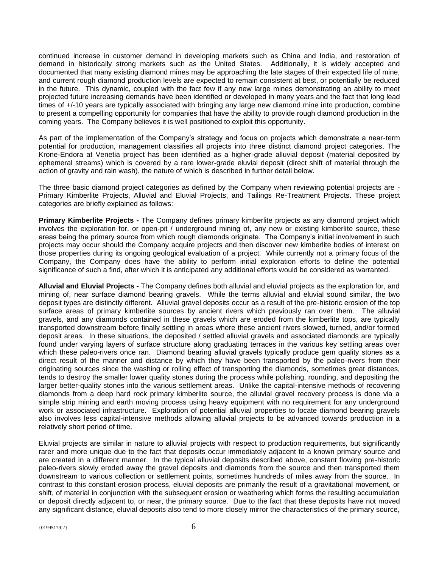continued increase in customer demand in developing markets such as China and India, and restoration of demand in historically strong markets such as the United States. Additionally, it is widely accepted and documented that many existing diamond mines may be approaching the late stages of their expected life of mine, and current rough diamond production levels are expected to remain consistent at best, or potentially be reduced in the future. This dynamic, coupled with the fact few if any new large mines demonstrating an ability to meet projected future increasing demands have been identified or developed in many years and the fact that long lead times of +/-10 years are typically associated with bringing any large new diamond mine into production, combine to present a compelling opportunity for companies that have the ability to provide rough diamond production in the coming years. The Company believes it is well positioned to exploit this opportunity.

As part of the implementation of the Company's strategy and focus on projects which demonstrate a near-term potential for production, management classifies all projects into three distinct diamond project categories. The Krone-Endora at Venetia project has been identified as a higher-grade alluvial deposit (material deposited by ephemeral streams) which is covered by a rare lower-grade eluvial deposit (direct shift of material through the action of gravity and rain wash), the nature of which is described in further detail below.

The three basic diamond project categories as defined by the Company when reviewing potential projects are - Primary Kimberlite Projects, Alluvial and Eluvial Projects, and Tailings Re-Treatment Projects. These project categories are briefly explained as follows:

**Primary Kimberlite Projects -** The Company defines primary kimberlite projects as any diamond project which involves the exploration for, or open-pit / underground mining of, any new or existing kimberlite source, these areas being the primary source from which rough diamonds originate. The Company's initial involvement in such projects may occur should the Company acquire projects and then discover new kimberlite bodies of interest on those properties during its ongoing geological evaluation of a project. While currently not a primary focus of the Company, the Company does have the ability to perform initial exploration efforts to define the potential significance of such a find, after which it is anticipated any additional efforts would be considered as warranted.

**Alluvial and Eluvial Projects -** The Company defines both alluvial and eluvial projects as the exploration for, and mining of, near surface diamond bearing gravels. While the terms alluvial and eluvial sound similar, the two deposit types are distinctly different. Alluvial gravel deposits occur as a result of the pre-historic erosion of the top surface areas of primary kimberlite sources by ancient rivers which previously ran over them. The alluvial gravels, and any diamonds contained in these gravels which are eroded from the kimberlite tops, are typically transported downstream before finally settling in areas where these ancient rivers slowed, turned, and/or formed deposit areas. In these situations, the deposited / settled alluvial gravels and associated diamonds are typically found under varying layers of surface structure along graduating terraces in the various key settling areas over which these paleo-rivers once ran. Diamond bearing alluvial gravels typically produce gem quality stones as a direct result of the manner and distance by which they have been transported by the paleo-rivers from their originating sources since the washing or rolling effect of transporting the diamonds, sometimes great distances, tends to destroy the smaller lower quality stones during the process while polishing, rounding, and depositing the larger better-quality stones into the various settlement areas. Unlike the capital-intensive methods of recovering diamonds from a deep hard rock primary kimberlite source, the alluvial gravel recovery process is done via a simple strip mining and earth moving process using heavy equipment with no requirement for any underground work or associated infrastructure. Exploration of potential alluvial properties to locate diamond bearing gravels also involves less capital-intensive methods allowing alluvial projects to be advanced towards production in a relatively short period of time.

Eluvial projects are similar in nature to alluvial projects with respect to production requirements, but significantly rarer and more unique due to the fact that deposits occur immediately adjacent to a known primary source and are created in a different manner. In the typical alluvial deposits described above, constant flowing pre-historic paleo-rivers slowly eroded away the gravel deposits and diamonds from the source and then transported them downstream to various collection or settlement points, sometimes hundreds of miles away from the source. In contrast to this constant erosion process, eluvial deposits are primarily the result of a gravitational movement, or shift, of material in conjunction with the subsequent erosion or weathering which forms the resulting accumulation or deposit directly adjacent to, or near, the primary source. Due to the fact that these deposits have not moved any significant distance, eluvial deposits also tend to more closely mirror the characteristics of the primary source,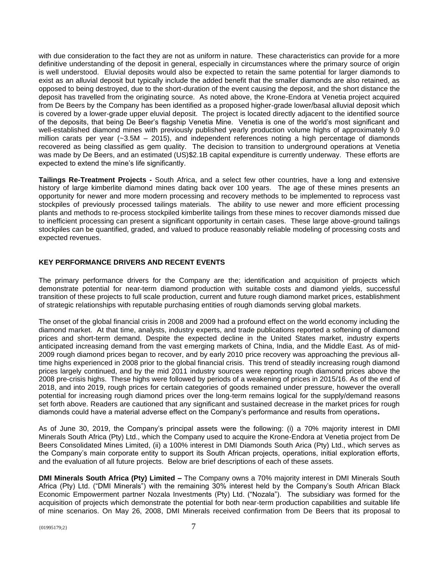with due consideration to the fact they are not as uniform in nature. These characteristics can provide for a more definitive understanding of the deposit in general, especially in circumstances where the primary source of origin is well understood. Eluvial deposits would also be expected to retain the same potential for larger diamonds to exist as an alluvial deposit but typically include the added benefit that the smaller diamonds are also retained, as opposed to being destroyed, due to the short-duration of the event causing the deposit, and the short distance the deposit has travelled from the originating source. As noted above, the Krone-Endora at Venetia project acquired from De Beers by the Company has been identified as a proposed higher-grade lower/basal alluvial deposit which is covered by a lower-grade upper eluvial deposit. The project is located directly adjacent to the identified source of the deposits, that being De Beer's flagship Venetia Mine. Venetia is one of the world's most significant and well-established diamond mines with previously published yearly production volume highs of approximately 9.0 million carats per year (~3.5M – 2015), and independent references noting a high percentage of diamonds recovered as being classified as gem quality. The decision to transition to underground operations at Venetia was made by De Beers, and an estimated (US)\$2.1B capital expenditure is currently underway. These efforts are expected to extend the mine's life significantly.

**Tailings Re-Treatment Projects -** South Africa, and a select few other countries, have a long and extensive history of large kimberlite diamond mines dating back over 100 years. The age of these mines presents an opportunity for newer and more modern processing and recovery methods to be implemented to reprocess vast stockpiles of previously processed tailings materials. The ability to use newer and more efficient processing plants and methods to re-process stockpiled kimberlite tailings from these mines to recover diamonds missed due to inefficient processing can present a significant opportunity in certain cases. These large above-ground tailings stockpiles can be quantified, graded, and valued to produce reasonably reliable modeling of processing costs and expected revenues.

## **KEY PERFORMANCE DRIVERS AND RECENT EVENTS**

The primary performance drivers for the Company are the; identification and acquisition of projects which demonstrate potential for near-term diamond production with suitable costs and diamond yields, successful transition of these projects to full scale production, current and future rough diamond market prices, establishment of strategic relationships with reputable purchasing entities of rough diamonds serving global markets.

The onset of the global financial crisis in 2008 and 2009 had a profound effect on the world economy including the diamond market. At that time, analysts, industry experts, and trade publications reported a softening of diamond prices and short-term demand. Despite the expected decline in the United States market, industry experts anticipated increasing demand from the vast emerging markets of China, India, and the Middle East. As of mid-2009 rough diamond prices began to recover, and by early 2010 price recovery was approaching the previous alltime highs experienced in 2008 prior to the global financial crisis. This trend of steadily increasing rough diamond prices largely continued, and by the mid 2011 industry sources were reporting rough diamond prices above the 2008 pre-crisis highs. These highs were followed by periods of a weakening of prices in 2015/16. As of the end of 2018, and into 2019, rough prices for certain categories of goods remained under pressure, however the overall potential for increasing rough diamond prices over the long-term remains logical for the supply/demand reasons set forth above. Readers are cautioned that any significant and sustained decrease in the market prices for rough diamonds could have a material adverse effect on the Company's performance and results from operations**.**

As of June 30, 2019, the Company's principal assets were the following: (i) a 70% majority interest in DMI Minerals South Africa (Pty) Ltd., which the Company used to acquire the Krone-Endora at Venetia project from De Beers Consolidated Mines Limited, (ii) a 100% interest in DMI Diamonds South Arica (Pty) Ltd., which serves as the Company's main corporate entity to support its South African projects, operations, initial exploration efforts, and the evaluation of all future projects. Below are brief descriptions of each of these assets.

**DMI Minerals South Africa (Pty) Limited –** The Company owns a 70% majority interest in DMI Minerals South Africa (Pty) Ltd. ("DMI Minerals") with the remaining 30% interest held by the Company's South African Black Economic Empowerment partner Nozala Investments (Pty) Ltd. ("Nozala"). The subsidiary was formed for the acquisition of projects which demonstrate the potential for both near-term production capabilities and suitable life of mine scenarios. On May 26, 2008, DMI Minerals received confirmation from De Beers that its proposal to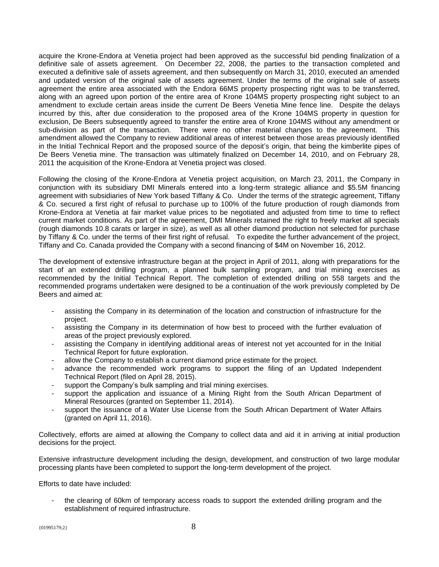acquire the Krone-Endora at Venetia project had been approved as the successful bid pending finalization of a definitive sale of assets agreement. On December 22, 2008, the parties to the transaction completed and executed a definitive sale of assets agreement, and then subsequently on March 31, 2010, executed an amended and updated version of the original sale of assets agreement. Under the terms of the original sale of assets agreement the entire area associated with the Endora 66MS property prospecting right was to be transferred, along with an agreed upon portion of the entire area of Krone 104MS property prospecting right subject to an amendment to exclude certain areas inside the current De Beers Venetia Mine fence line. Despite the delays incurred by this, after due consideration to the proposed area of the Krone 104MS property in question for exclusion, De Beers subsequently agreed to transfer the entire area of Krone 104MS without any amendment or sub-division as part of the transaction. There were no other material changes to the agreement. This amendment allowed the Company to review additional areas of interest between those areas previously identified in the Initial Technical Report and the proposed source of the deposit's origin, that being the kimberlite pipes of De Beers Venetia mine. The transaction was ultimately finalized on December 14, 2010, and on February 28, 2011 the acquisition of the Krone-Endora at Venetia project was closed.

Following the closing of the Krone-Endora at Venetia project acquisition, on March 23, 2011, the Company in conjunction with its subsidiary DMI Minerals entered into a long-term strategic alliance and \$5.5M financing agreement with subsidiaries of New York based Tiffany & Co. Under the terms of the strategic agreement, Tiffany & Co. secured a first right of refusal to purchase up to 100% of the future production of rough diamonds from Krone-Endora at Venetia at fair market value prices to be negotiated and adjusted from time to time to reflect current market conditions. As part of the agreement, DMI Minerals retained the right to freely market all specials (rough diamonds 10.8 carats or larger in size), as well as all other diamond production not selected for purchase by Tiffany & Co. under the terms of their first right of refusal. To expedite the further advancement of the project, Tiffany and Co. Canada provided the Company with a second financing of \$4M on November 16, 2012.

The development of extensive infrastructure began at the project in April of 2011, along with preparations for the start of an extended drilling program, a planned bulk sampling program, and trial mining exercises as recommended by the Initial Technical Report. The completion of extended drilling on 558 targets and the recommended programs undertaken were designed to be a continuation of the work previously completed by De Beers and aimed at:

- assisting the Company in its determination of the location and construction of infrastructure for the project.
- assisting the Company in its determination of how best to proceed with the further evaluation of areas of the project previously explored.
- assisting the Company in identifying additional areas of interest not yet accounted for in the Initial Technical Report for future exploration.
- allow the Company to establish a current diamond price estimate for the project.
- advance the recommended work programs to support the filing of an Updated Independent Technical Report (filed on April 28, 2015).
- support the Company's bulk sampling and trial mining exercises.
- support the application and issuance of a Mining Right from the South African Department of Mineral Resources (granted on September 11, 2014).
- support the issuance of a Water Use License from the South African Department of Water Affairs (granted on April 11, 2016).

Collectively, efforts are aimed at allowing the Company to collect data and aid it in arriving at initial production decisions for the project.

Extensive infrastructure development including the design, development, and construction of two large modular processing plants have been completed to support the long-term development of the project.

Efforts to date have included:

the clearing of 60km of temporary access roads to support the extended drilling program and the establishment of required infrastructure.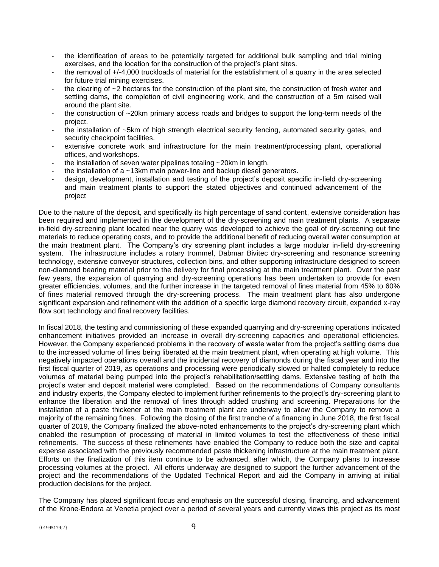- the identification of areas to be potentially targeted for additional bulk sampling and trial mining exercises, and the location for the construction of the project's plant sites.
- the removal of +/-4,000 truckloads of material for the establishment of a quarry in the area selected for future trial mining exercises.
- the clearing of  $\sim$  2 hectares for the construction of the plant site, the construction of fresh water and settling dams, the completion of civil engineering work, and the construction of a 5m raised wall around the plant site.
- the construction of  $\sim$  20km primary access roads and bridges to support the long-term needs of the project.
- the installation of ~5km of high strength electrical security fencing, automated security gates, and security checkpoint facilities.
- extensive concrete work and infrastructure for the main treatment/processing plant, operational offices, and workshops.
- the installation of seven water pipelines totaling  $\sim$  20km in length.
- the installation of a  $\sim$ 13km main power-line and backup diesel generators.
- design, development, installation and testing of the project's deposit specific in-field dry-screening and main treatment plants to support the stated objectives and continued advancement of the project

Due to the nature of the deposit, and specifically its high percentage of sand content, extensive consideration has been required and implemented in the development of the dry-screening and main treatment plants. A separate in-field dry-screening plant located near the quarry was developed to achieve the goal of dry-screening out fine materials to reduce operating costs, and to provide the additional benefit of reducing overall water consumption at the main treatment plant. The Company's dry screening plant includes a large modular in-field dry-screening system. The infrastructure includes a rotary trommel, Dabmar Bivitec dry-screening and resonance screening technology, extensive conveyor structures, collection bins, and other supporting infrastructure designed to screen non-diamond bearing material prior to the delivery for final processing at the main treatment plant. Over the past few years, the expansion of quarrying and dry-screening operations has been undertaken to provide for even greater efficiencies, volumes, and the further increase in the targeted removal of fines material from 45% to 60% of fines material removed through the dry-screening process. The main treatment plant has also undergone significant expansion and refinement with the addition of a specific large diamond recovery circuit, expanded x-ray flow sort technology and final recovery facilities.

In fiscal 2018, the testing and commissioning of these expanded quarrying and dry-screening operations indicated enhancement initiatives provided an increase in overall dry-screening capacities and operational efficiencies. However, the Company experienced problems in the recovery of waste water from the project's settling dams due to the increased volume of fines being liberated at the main treatment plant, when operating at high volume. This negatively impacted operations overall and the incidental recovery of diamonds during the fiscal year and into the first fiscal quarter of 2019, as operations and processing were periodically slowed or halted completely to reduce volumes of material being pumped into the project's rehabilitation/settling dams. Extensive testing of both the project's water and deposit material were completed. Based on the recommendations of Company consultants and industry experts, the Company elected to implement further refinements to the project's dry-screening plant to enhance the liberation and the removal of fines through added crushing and screening. Preparations for the installation of a paste thickener at the main treatment plant are underway to allow the Company to remove a majority of the remaining fines. Following the closing of the first tranche of a financing in June 2018, the first fiscal quarter of 2019, the Company finalized the above-noted enhancements to the project's dry-screening plant which enabled the resumption of processing of material in limited volumes to test the effectiveness of these initial refinements. The success of these refinements have enabled the Company to reduce both the size and capital expense associated with the previously recommended paste thickening infrastructure at the main treatment plant. Efforts on the finalization of this item continue to be advanced, after which, the Company plans to increase processing volumes at the project. All efforts underway are designed to support the further advancement of the project and the recommendations of the Updated Technical Report and aid the Company in arriving at initial production decisions for the project.

The Company has placed significant focus and emphasis on the successful closing, financing, and advancement of the Krone-Endora at Venetia project over a period of several years and currently views this project as its most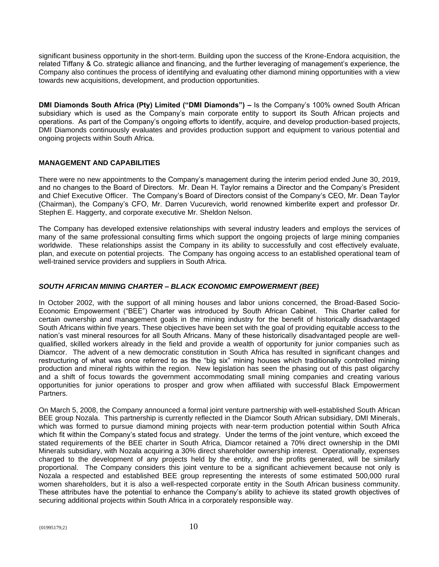significant business opportunity in the short-term. Building upon the success of the Krone-Endora acquisition, the related Tiffany & Co. strategic alliance and financing, and the further leveraging of management's experience, the Company also continues the process of identifying and evaluating other diamond mining opportunities with a view towards new acquisitions, development, and production opportunities.

**DMI Diamonds South Africa (Pty) Limited ("DMI Diamonds") –** Is the Company's 100% owned South African subsidiary which is used as the Company's main corporate entity to support its South African projects and operations. As part of the Company's ongoing efforts to identify, acquire, and develop production-based projects, DMI Diamonds continuously evaluates and provides production support and equipment to various potential and ongoing projects within South Africa.

## **MANAGEMENT AND CAPABILITIES**

There were no new appointments to the Company's management during the interim period ended June 30, 2019, and no changes to the Board of Directors. Mr. Dean H. Taylor remains a Director and the Company's President and Chief Executive Officer. The Company's Board of Directors consist of the Company's CEO, Mr. Dean Taylor (Chairman), the Company's CFO, Mr. Darren Vucurevich, world renowned kimberlite expert and professor Dr. Stephen E. Haggerty, and corporate executive Mr. Sheldon Nelson.

The Company has developed extensive relationships with several industry leaders and employs the services of many of the same professional consulting firms which support the ongoing projects of large mining companies worldwide. These relationships assist the Company in its ability to successfully and cost effectively evaluate, plan, and execute on potential projects. The Company has ongoing access to an established operational team of well-trained service providers and suppliers in South Africa.

## *SOUTH AFRICAN MINING CHARTER – BLACK ECONOMIC EMPOWERMENT (BEE)*

In October 2002, with the support of all mining houses and labor unions concerned, the Broad-Based Socio-Economic Empowerment ("BEE") Charter was introduced by South African Cabinet. This Charter called for certain ownership and management goals in the mining industry for the benefit of historically disadvantaged South Africans within five years. These objectives have been set with the goal of providing equitable access to the nation's vast mineral resources for all South Africans. Many of these historically disadvantaged people are wellqualified, skilled workers already in the field and provide a wealth of opportunity for junior companies such as Diamcor. The advent of a new democratic constitution in South Africa has resulted in significant changes and restructuring of what was once referred to as the "big six" mining houses which traditionally controlled mining production and mineral rights within the region. New legislation has seen the phasing out of this past oligarchy and a shift of focus towards the government accommodating small mining companies and creating various opportunities for junior operations to prosper and grow when affiliated with successful Black Empowerment Partners.

On March 5, 2008, the Company announced a formal joint venture partnership with well-established South African BEE group Nozala. This partnership is currently reflected in the Diamcor South African subsidiary, DMI Minerals, which was formed to pursue diamond mining projects with near-term production potential within South Africa which fit within the Company's stated focus and strategy. Under the terms of the joint venture, which exceed the stated requirements of the BEE charter in South Africa, Diamcor retained a 70% direct ownership in the DMI Minerals subsidiary, with Nozala acquiring a 30% direct shareholder ownership interest. Operationally, expenses charged to the development of any projects held by the entity, and the profits generated, will be similarly proportional. The Company considers this joint venture to be a significant achievement because not only is Nozala a respected and established BEE group representing the interests of some estimated 500,000 rural women shareholders, but it is also a well-respected corporate entity in the South African business community. These attributes have the potential to enhance the Company's ability to achieve its stated growth objectives of securing additional projects within South Africa in a corporately responsible way.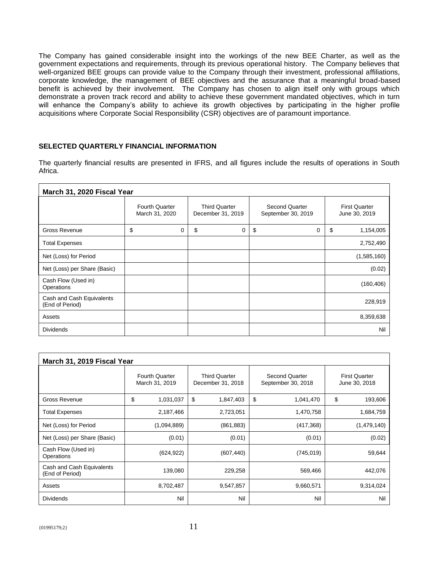The Company has gained considerable insight into the workings of the new BEE Charter, as well as the government expectations and requirements, through its previous operational history. The Company believes that well-organized BEE groups can provide value to the Company through their investment, professional affiliations, corporate knowledge, the management of BEE objectives and the assurance that a meaningful broad-based benefit is achieved by their involvement. The Company has chosen to align itself only with groups which demonstrate a proven track record and ability to achieve these government mandated objectives, which in turn will enhance the Company's ability to achieve its growth objectives by participating in the higher profile acquisitions where Corporate Social Responsibility (CSR) objectives are of paramount importance.

## **SELECTED QUARTERLY FINANCIAL INFORMATION**

The quarterly financial results are presented in IFRS, and all figures include the results of operations in South Africa.

| March 31, 2020 Fiscal Year                   |                                         |                                           |                                             |                                       |  |  |  |
|----------------------------------------------|-----------------------------------------|-------------------------------------------|---------------------------------------------|---------------------------------------|--|--|--|
|                                              | <b>Fourth Quarter</b><br>March 31, 2020 | <b>Third Quarter</b><br>December 31, 2019 | <b>Second Quarter</b><br>September 30, 2019 | <b>First Quarter</b><br>June 30, 2019 |  |  |  |
| <b>Gross Revenue</b>                         | \$<br>0                                 | \$<br>0                                   | \$<br>0                                     | \$<br>1,154,005                       |  |  |  |
| <b>Total Expenses</b>                        |                                         |                                           |                                             | 2,752,490                             |  |  |  |
| Net (Loss) for Period                        |                                         |                                           |                                             | (1,585,160)                           |  |  |  |
| Net (Loss) per Share (Basic)                 |                                         |                                           |                                             | (0.02)                                |  |  |  |
| Cash Flow (Used in)<br>Operations            |                                         |                                           |                                             | (160, 406)                            |  |  |  |
| Cash and Cash Equivalents<br>(End of Period) |                                         |                                           |                                             | 228,919                               |  |  |  |
| Assets                                       |                                         |                                           |                                             | 8,359,638                             |  |  |  |
| <b>Dividends</b>                             |                                         |                                           |                                             | Nil                                   |  |  |  |

| March 31, 2019 Fiscal Year                   |                                         |                                           |                                             |                                       |  |  |  |
|----------------------------------------------|-----------------------------------------|-------------------------------------------|---------------------------------------------|---------------------------------------|--|--|--|
|                                              | <b>Fourth Quarter</b><br>March 31, 2019 | <b>Third Quarter</b><br>December 31, 2018 | <b>Second Quarter</b><br>September 30, 2018 | <b>First Quarter</b><br>June 30, 2018 |  |  |  |
| Gross Revenue                                | \$<br>1,031,037                         | \$<br>1,847,403                           | \$<br>1,041,470                             | \$<br>193,606                         |  |  |  |
| <b>Total Expenses</b>                        | 2,187,466                               | 2,723,051                                 | 1,470,758                                   | 1,684,759                             |  |  |  |
| Net (Loss) for Period                        | (1,094,889)                             | (861, 883)                                | (417, 368)                                  | (1,479,140)                           |  |  |  |
| Net (Loss) per Share (Basic)                 | (0.01)                                  | (0.01)                                    | (0.01)                                      | (0.02)                                |  |  |  |
| Cash Flow (Used in)<br>Operations            | (624, 922)                              | (607, 440)                                | (745, 019)                                  | 59,644                                |  |  |  |
| Cash and Cash Equivalents<br>(End of Period) | 139,080                                 | 229,258                                   | 569,466                                     | 442,076                               |  |  |  |
| Assets                                       | 8,702,487                               | 9,547,857                                 | 9,660,571                                   | 9,314,024                             |  |  |  |
| <b>Dividends</b>                             | Nil                                     | Nil                                       | Nil                                         | Nil                                   |  |  |  |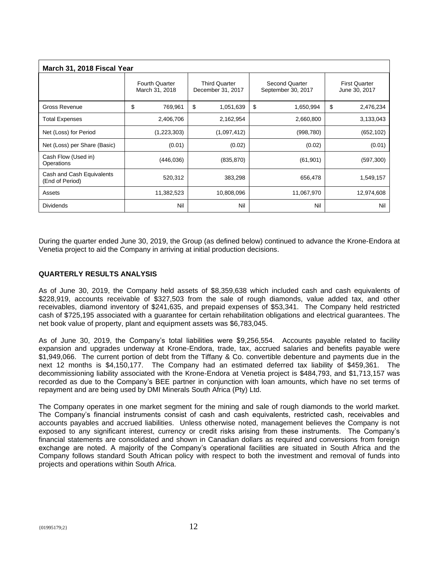| March 31, 2018 Fiscal Year                   |                                         |                                           |                                      |                                       |  |  |  |
|----------------------------------------------|-----------------------------------------|-------------------------------------------|--------------------------------------|---------------------------------------|--|--|--|
|                                              | <b>Fourth Quarter</b><br>March 31, 2018 | <b>Third Quarter</b><br>December 31, 2017 | Second Quarter<br>September 30, 2017 | <b>First Quarter</b><br>June 30, 2017 |  |  |  |
| <b>Gross Revenue</b>                         | \$<br>769,961                           | \$<br>1,051,639                           | \$<br>1,650,994                      | \$<br>2,476,234                       |  |  |  |
| <b>Total Expenses</b>                        | 2,406,706                               | 2,162,954                                 | 2,660,800                            | 3,133,043                             |  |  |  |
| Net (Loss) for Period                        | (1,223,303)                             | (1,097,412)                               | (998, 780)                           | (652, 102)                            |  |  |  |
| Net (Loss) per Share (Basic)                 | (0.01)                                  | (0.02)                                    | (0.02)                               | (0.01)                                |  |  |  |
| Cash Flow (Used in)<br>Operations            | (446, 036)                              | (835, 870)                                | (61, 901)                            | (597, 300)                            |  |  |  |
| Cash and Cash Equivalents<br>(End of Period) | 520,312                                 | 383,298                                   | 656,478                              | 1,549,157                             |  |  |  |
| Assets                                       | 11,382,523                              | 10,808,096                                | 11,067,970                           | 12,974,608                            |  |  |  |
| <b>Dividends</b>                             | Nil                                     | Nil                                       | Nil                                  | Nil                                   |  |  |  |

During the quarter ended June 30, 2019, the Group (as defined below) continued to advance the Krone-Endora at Venetia project to aid the Company in arriving at initial production decisions.

## **QUARTERLY RESULTS ANALYSIS**

As of June 30, 2019, the Company held assets of \$8,359,638 which included cash and cash equivalents of \$228,919, accounts receivable of \$327,503 from the sale of rough diamonds, value added tax, and other receivables, diamond inventory of \$241,635, and prepaid expenses of \$53,341. The Company held restricted cash of \$725,195 associated with a guarantee for certain rehabilitation obligations and electrical guarantees. The net book value of property, plant and equipment assets was \$6,783,045.

As of June 30, 2019, the Company's total liabilities were \$9,256,554. Accounts payable related to facility expansion and upgrades underway at Krone-Endora, trade, tax, accrued salaries and benefits payable were \$1,949,066. The current portion of debt from the Tiffany & Co. convertible debenture and payments due in the next 12 months is \$4,150,177. The Company had an estimated deferred tax liability of \$459,361. The decommissioning liability associated with the Krone-Endora at Venetia project is \$484,793, and \$1,713,157 was recorded as due to the Company's BEE partner in conjunction with loan amounts, which have no set terms of repayment and are being used by DMI Minerals South Africa (Pty) Ltd.

The Company operates in one market segment for the mining and sale of rough diamonds to the world market. The Company's financial instruments consist of cash and cash equivalents, restricted cash, receivables and accounts payables and accrued liabilities. Unless otherwise noted, management believes the Company is not exposed to any significant interest, currency or credit risks arising from these instruments. The Company's financial statements are consolidated and shown in Canadian dollars as required and conversions from foreign exchange are noted. A majority of the Company's operational facilities are situated in South Africa and the Company follows standard South African policy with respect to both the investment and removal of funds into projects and operations within South Africa.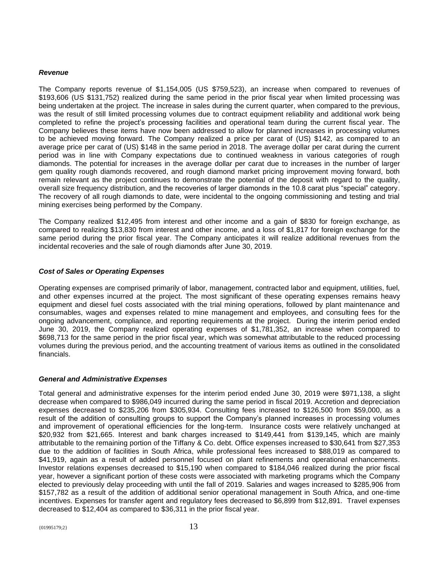#### *Revenue*

The Company reports revenue of \$1,154,005 (US \$759,523), an increase when compared to revenues of \$193,606 (US \$131,752) realized during the same period in the prior fiscal year when limited processing was being undertaken at the project. The increase in sales during the current quarter, when compared to the previous, was the result of still limited processing volumes due to contract equipment reliability and additional work being completed to refine the project's processing facilities and operational team during the current fiscal year. The Company believes these items have now been addressed to allow for planned increases in processing volumes to be achieved moving forward. The Company realized a price per carat of (US) \$142, as compared to an average price per carat of (US) \$148 in the same period in 2018. The average dollar per carat during the current period was in line with Company expectations due to continued weakness in various categories of rough diamonds. The potential for increases in the average dollar per carat due to increases in the number of larger gem quality rough diamonds recovered, and rough diamond market pricing improvement moving forward, both remain relevant as the project continues to demonstrate the potential of the deposit with regard to the quality, overall size frequency distribution, and the recoveries of larger diamonds in the 10.8 carat plus "special" category. The recovery of all rough diamonds to date, were incidental to the ongoing commissioning and testing and trial mining exercises being performed by the Company.

The Company realized \$12,495 from interest and other income and a gain of \$830 for foreign exchange, as compared to realizing \$13,830 from interest and other income, and a loss of \$1,817 for foreign exchange for the same period during the prior fiscal year. The Company anticipates it will realize additional revenues from the incidental recoveries and the sale of rough diamonds after June 30, 2019.

## *Cost of Sales or Operating Expenses*

Operating expenses are comprised primarily of labor, management, contracted labor and equipment, utilities, fuel, and other expenses incurred at the project. The most significant of these operating expenses remains heavy equipment and diesel fuel costs associated with the trial mining operations, followed by plant maintenance and consumables, wages and expenses related to mine management and employees, and consulting fees for the ongoing advancement, compliance, and reporting requirements at the project. During the interim period ended June 30, 2019, the Company realized operating expenses of \$1,781,352, an increase when compared to \$698,713 for the same period in the prior fiscal year, which was somewhat attributable to the reduced processing volumes during the previous period, and the accounting treatment of various items as outlined in the consolidated financials.

#### *General and Administrative Expenses*

Total general and administrative expenses for the interim period ended June 30, 2019 were \$971,138, a slight decrease when compared to \$986,049 incurred during the same period in fiscal 2019. Accretion and depreciation expenses decreased to \$235,206 from \$305,934. Consulting fees increased to \$126,500 from \$59,000, as a result of the addition of consulting groups to support the Company's planned increases in processing volumes and improvement of operational efficiencies for the long-term. Insurance costs were relatively unchanged at \$20,932 from \$21,665. Interest and bank charges increased to \$149,441 from \$139,145, which are mainly attributable to the remaining portion of the Tiffany & Co. debt. Office expenses increased to \$30,641 from \$27,353 due to the addition of facilities in South Africa, while professional fees increased to \$88,019 as compared to \$41,919, again as a result of added personnel focused on plant refinements and operational enhancements. Investor relations expenses decreased to \$15,190 when compared to \$184,046 realized during the prior fiscal year, however a significant portion of these costs were associated with marketing programs which the Company elected to previously delay proceeding with until the fall of 2019. Salaries and wages increased to \$285,906 from \$157,782 as a result of the addition of additional senior operational management in South Africa, and one-time incentives. Expenses for transfer agent and regulatory fees decreased to \$6,899 from \$12,891. Travel expenses decreased to \$12,404 as compared to \$36,311 in the prior fiscal year.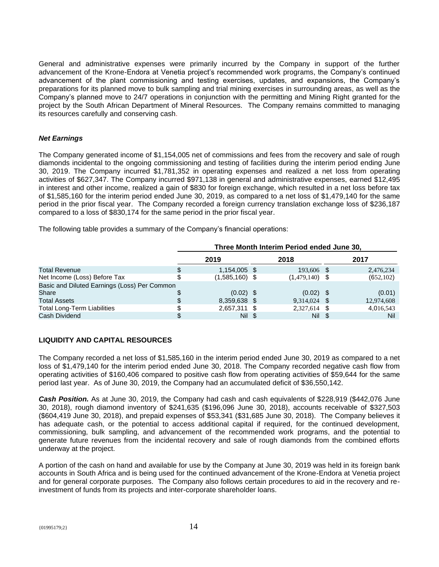General and administrative expenses were primarily incurred by the Company in support of the further advancement of the Krone-Endora at Venetia project's recommended work programs, the Company's continued advancement of the plant commissioning and testing exercises, updates, and expansions, the Company's preparations for its planned move to bulk sampling and trial mining exercises in surrounding areas, as well as the Company's planned move to 24/7 operations in conjunction with the permitting and Mining Right granted for the project by the South African Department of Mineral Resources. The Company remains committed to managing its resources carefully and conserving cash.

## *Net Earnings*

The Company generated income of \$1,154,005 net of commissions and fees from the recovery and sale of rough diamonds incidental to the ongoing commissioning and testing of facilities during the interim period ending June 30, 2019. The Company incurred \$1,781,352 in operating expenses and realized a net loss from operating activities of \$627,347. The Company incurred \$971,138 in general and administrative expenses, earned \$12,495 in interest and other income, realized a gain of \$830 for foreign exchange, which resulted in a net loss before tax of \$1,585,160 for the interim period ended June 30, 2019, as compared to a net loss of \$1,479,140 for the same period in the prior fiscal year. The Company recorded a foreign currency translation exchange loss of \$236,187 compared to a loss of \$830,174 for the same period in the prior fiscal year.

The following table provides a summary of the Company's financial operations:

|                                              | Three Month Interim Period ended June 30, |  |                  |  |            |  |
|----------------------------------------------|-------------------------------------------|--|------------------|--|------------|--|
|                                              | 2019                                      |  | 2018             |  | 2017       |  |
| <b>Total Revenue</b>                         | 1,154,005 \$                              |  | 193,606 \$       |  | 2,476,234  |  |
| Net Income (Loss) Before Tax                 | $(1,585,160)$ \$                          |  | $(1,479,140)$ \$ |  | (652, 102) |  |
| Basic and Diluted Earnings (Loss) Per Common |                                           |  |                  |  |            |  |
| Share                                        | $(0.02)$ \$                               |  | $(0.02)$ \$      |  | (0.01)     |  |
| <b>Total Assets</b>                          | 8,359,638 \$                              |  | $9,314,024$ \$   |  | 12,974,608 |  |
| <b>Total Long-Term Liabilities</b>           | 2,657,311 \$                              |  | $2,327,614$ \$   |  | 4,016,543  |  |
| Cash Dividend                                | Nil \$                                    |  | Nil              |  | Nil        |  |

## **LIQUIDITY AND CAPITAL RESOURCES**

The Company recorded a net loss of \$1,585,160 in the interim period ended June 30, 2019 as compared to a net loss of \$1,479,140 for the interim period ended June 30, 2018. The Company recorded negative cash flow from operating activities of \$160,406 compared to positive cash flow from operating activities of \$59,644 for the same period last year. As of June 30, 2019, the Company had an accumulated deficit of \$36,550,142.

**Cash Position.** As at June 30, 2019, the Company had cash and cash equivalents of \$228,919 (\$442,076 June 30, 2018), rough diamond inventory of \$241,635 (\$196,096 June 30, 2018), accounts receivable of \$327,503 (\$604,419 June 30, 2018), and prepaid expenses of \$53,341 (\$31,685 June 30, 2018). The Company believes it has adequate cash, or the potential to access additional capital if required, for the continued development, commissioning, bulk sampling, and advancement of the recommended work programs, and the potential to generate future revenues from the incidental recovery and sale of rough diamonds from the combined efforts underway at the project.

A portion of the cash on hand and available for use by the Company at June 30, 2019 was held in its foreign bank accounts in South Africa and is being used for the continued advancement of the Krone-Endora at Venetia project and for general corporate purposes. The Company also follows certain procedures to aid in the recovery and reinvestment of funds from its projects and inter-corporate shareholder loans.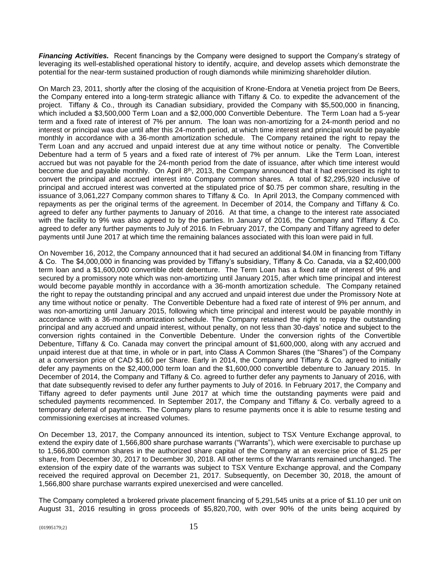*Financing Activities.* Recent financings by the Company were designed to support the Company's strategy of leveraging its well-established operational history to identify, acquire, and develop assets which demonstrate the potential for the near-term sustained production of rough diamonds while minimizing shareholder dilution.

On March 23, 2011, shortly after the closing of the acquisition of Krone-Endora at Venetia project from De Beers, the Company entered into a long-term strategic alliance with Tiffany & Co. to expedite the advancement of the project. Tiffany & Co., through its Canadian subsidiary, provided the Company with \$5,500,000 in financing, which included a \$3,500,000 Term Loan and a \$2,000,000 Convertible Debenture. The Term Loan had a 5-year term and a fixed rate of interest of 7% per annum. The loan was non-amortizing for a 24-month period and no interest or principal was due until after this 24-month period, at which time interest and principal would be payable monthly in accordance with a 36-month amortization schedule. The Company retained the right to repay the Term Loan and any accrued and unpaid interest due at any time without notice or penalty. The Convertible Debenture had a term of 5 years and a fixed rate of interest of 7% per annum. Like the Term Loan, interest accrued but was not payable for the 24-month period from the date of issuance, after which time interest would become due and payable monthly. On April 8<sup>th</sup>, 2013, the Company announced that it had exercised its right to convert the principal and accrued interest into Company common shares. A total of \$2,295,920 inclusive of principal and accrued interest was converted at the stipulated price of \$0.75 per common share, resulting in the issuance of 3,061,227 Company common shares to Tiffany & Co. In April 2013, the Company commenced with repayments as per the original terms of the agreement. In December of 2014, the Company and Tiffany & Co. agreed to defer any further payments to January of 2016. At that time, a change to the interest rate associated with the facility to 9% was also agreed to by the parties. In January of 2016, the Company and Tiffany & Co. agreed to defer any further payments to July of 2016. In February 2017, the Company and Tiffany agreed to defer payments until June 2017 at which time the remaining balances associated with this loan were paid in full.

On November 16, 2012, the Company announced that it had secured an additional \$4.0M in financing from Tiffany & Co. The \$4,000,000 in financing was provided by Tiffany's subsidiary, Tiffany & Co. Canada, via a \$2,400,000 term loan and a \$1,600,000 convertible debt debenture. The Term Loan has a fixed rate of interest of 9% and secured by a promissory note which was non-amortizing until January 2015, after which time principal and interest would become payable monthly in accordance with a 36-month amortization schedule. The Company retained the right to repay the outstanding principal and any accrued and unpaid interest due under the Promissory Note at any time without notice or penalty. The Convertible Debenture had a fixed rate of interest of 9% per annum, and was non-amortizing until January 2015, following which time principal and interest would be payable monthly in accordance with a 36-month amortization schedule. The Company retained the right to repay the outstanding principal and any accrued and unpaid interest, without penalty, on not less than 30-days' notice and subject to the conversion rights contained in the Convertible Debenture. Under the conversion rights of the Convertible Debenture, Tiffany & Co. Canada may convert the principal amount of \$1,600,000, along with any accrued and unpaid interest due at that time, in whole or in part, into Class A Common Shares (the "Shares") of the Company at a conversion price of CAD \$1.60 per Share. Early in 2014, the Company and Tiffany & Co. agreed to initially defer any payments on the \$2,400,000 term loan and the \$1,600,000 convertible debenture to January 2015. In December of 2014, the Company and Tiffany & Co. agreed to further defer any payments to January of 2016, with that date subsequently revised to defer any further payments to July of 2016. In February 2017, the Company and Tiffany agreed to defer payments until June 2017 at which time the outstanding payments were paid and scheduled payments recommenced. In September 2017, the Company and Tiffany & Co. verbally agreed to a temporary deferral of payments. The Company plans to resume payments once it is able to resume testing and commissioning exercises at increased volumes.

On December 13, 2017, the Company announced its intention, subject to TSX Venture Exchange approval, to extend the expiry date of 1,566,800 share purchase warrants ("Warrants"), which were exercisable to purchase up to 1,566,800 common shares in the authorized share capital of the Company at an exercise price of \$1.25 per share, from December 30, 2017 to December 30, 2018. All other terms of the Warrants remained unchanged. The extension of the expiry date of the warrants was subject to TSX Venture Exchange approval, and the Company received the required approval on December 21, 2017. Subsequently, on December 30, 2018, the amount of 1,566,800 share purchase warrants expired unexercised and were cancelled.

The Company completed a brokered private placement financing of 5,291,545 units at a price of \$1.10 per unit on August 31, 2016 resulting in gross proceeds of \$5,820,700, with over 90% of the units being acquired by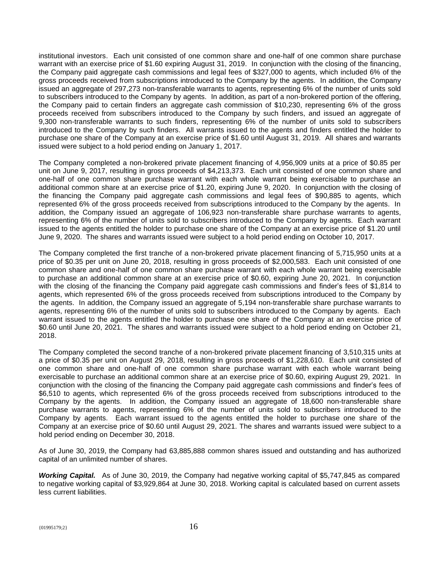institutional investors. Each unit consisted of one common share and one-half of one common share purchase warrant with an exercise price of \$1.60 expiring August 31, 2019. In conjunction with the closing of the financing, the Company paid aggregate cash commissions and legal fees of \$327,000 to agents, which included 6% of the gross proceeds received from subscriptions introduced to the Company by the agents. In addition, the Company issued an aggregate of 297,273 non-transferable warrants to agents, representing 6% of the number of units sold to subscribers introduced to the Company by agents. In addition, as part of a non-brokered portion of the offering, the Company paid to certain finders an aggregate cash commission of \$10,230, representing 6% of the gross proceeds received from subscribers introduced to the Company by such finders, and issued an aggregate of 9,300 non-transferable warrants to such finders, representing 6% of the number of units sold to subscribers introduced to the Company by such finders. All warrants issued to the agents and finders entitled the holder to purchase one share of the Company at an exercise price of \$1.60 until August 31, 2019. All shares and warrants issued were subject to a hold period ending on January 1, 2017.

The Company completed a non-brokered private placement financing of 4,956,909 units at a price of \$0.85 per unit on June 9, 2017, resulting in gross proceeds of \$4,213,373. Each unit consisted of one common share and one-half of one common share purchase warrant with each whole warrant being exercisable to purchase an additional common share at an exercise price of \$1.20, expiring June 9, 2020. In conjunction with the closing of the financing the Company paid aggregate cash commissions and legal fees of \$90,885 to agents, which represented 6% of the gross proceeds received from subscriptions introduced to the Company by the agents. In addition, the Company issued an aggregate of 106,923 non-transferable share purchase warrants to agents, representing 6% of the number of units sold to subscribers introduced to the Company by agents. Each warrant issued to the agents entitled the holder to purchase one share of the Company at an exercise price of \$1.20 until June 9, 2020. The shares and warrants issued were subject to a hold period ending on October 10, 2017.

The Company completed the first tranche of a non-brokered private placement financing of 5,715,950 units at a price of \$0.35 per unit on June 20, 2018, resulting in gross proceeds of \$2,000,583. Each unit consisted of one common share and one-half of one common share purchase warrant with each whole warrant being exercisable to purchase an additional common share at an exercise price of \$0.60, expiring June 20, 2021. In conjunction with the closing of the financing the Company paid aggregate cash commissions and finder's fees of \$1,814 to agents, which represented 6% of the gross proceeds received from subscriptions introduced to the Company by the agents. In addition, the Company issued an aggregate of 5,194 non-transferable share purchase warrants to agents, representing 6% of the number of units sold to subscribers introduced to the Company by agents. Each warrant issued to the agents entitled the holder to purchase one share of the Company at an exercise price of \$0.60 until June 20, 2021. The shares and warrants issued were subject to a hold period ending on October 21, 2018.

The Company completed the second tranche of a non-brokered private placement financing of 3,510,315 units at a price of \$0.35 per unit on August 29, 2018, resulting in gross proceeds of \$1,228,610. Each unit consisted of one common share and one-half of one common share purchase warrant with each whole warrant being exercisable to purchase an additional common share at an exercise price of \$0.60, expiring August 29, 2021. In conjunction with the closing of the financing the Company paid aggregate cash commissions and finder's fees of \$6,510 to agents, which represented 6% of the gross proceeds received from subscriptions introduced to the Company by the agents. In addition, the Company issued an aggregate of 18,600 non-transferable share purchase warrants to agents, representing 6% of the number of units sold to subscribers introduced to the Company by agents. Each warrant issued to the agents entitled the holder to purchase one share of the Company at an exercise price of \$0.60 until August 29, 2021. The shares and warrants issued were subject to a hold period ending on December 30, 2018.

As of June 30, 2019, the Company had 63,885,888 common shares issued and outstanding and has authorized capital of an unlimited number of shares.

*Working Capital.* As of June 30, 2019, the Company had negative working capital of \$5,747,845 as compared to negative working capital of \$3,929,864 at June 30, 2018. Working capital is calculated based on current assets less current liabilities.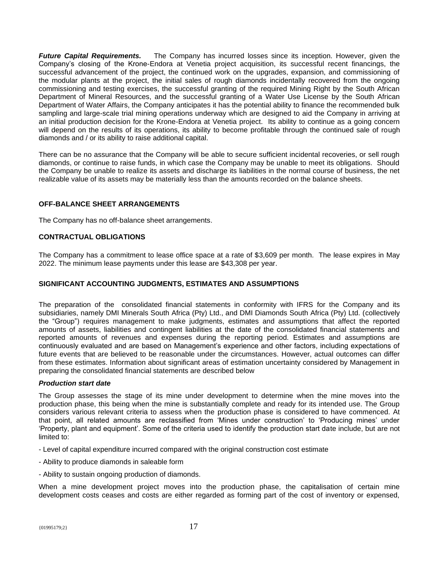*Future Capital Requirements.* The Company has incurred losses since its inception. However, given the Company's closing of the Krone-Endora at Venetia project acquisition, its successful recent financings, the successful advancement of the project, the continued work on the upgrades, expansion, and commissioning of the modular plants at the project, the initial sales of rough diamonds incidentally recovered from the ongoing commissioning and testing exercises, the successful granting of the required Mining Right by the South African Department of Mineral Resources, and the successful granting of a Water Use License by the South African Department of Water Affairs, the Company anticipates it has the potential ability to finance the recommended bulk sampling and large-scale trial mining operations underway which are designed to aid the Company in arriving at an initial production decision for the Krone-Endora at Venetia project. Its ability to continue as a going concern will depend on the results of its operations, its ability to become profitable through the continued sale of rough diamonds and / or its ability to raise additional capital.

There can be no assurance that the Company will be able to secure sufficient incidental recoveries, or sell rough diamonds, or continue to raise funds, in which case the Company may be unable to meet its obligations. Should the Company be unable to realize its assets and discharge its liabilities in the normal course of business, the net realizable value of its assets may be materially less than the amounts recorded on the balance sheets.

## **OFF-BALANCE SHEET ARRANGEMENTS**

The Company has no off-balance sheet arrangements.

## **CONTRACTUAL OBLIGATIONS**

The Company has a commitment to lease office space at a rate of \$3,609 per month. The lease expires in May 2022. The minimum lease payments under this lease are \$43,308 per year.

#### **SIGNIFICANT ACCOUNTING JUDGMENTS, ESTIMATES AND ASSUMPTIONS**

The preparation of the consolidated financial statements in conformity with IFRS for the Company and its subsidiaries, namely DMI Minerals South Africa (Pty) Ltd., and DMI Diamonds South Africa (Pty) Ltd. (collectively the "Group") requires management to make judgments, estimates and assumptions that affect the reported amounts of assets, liabilities and contingent liabilities at the date of the consolidated financial statements and reported amounts of revenues and expenses during the reporting period. Estimates and assumptions are continuously evaluated and are based on Management's experience and other factors, including expectations of future events that are believed to be reasonable under the circumstances. However, actual outcomes can differ from these estimates. Information about significant areas of estimation uncertainty considered by Management in preparing the consolidated financial statements are described below

#### *Production start date*

The Group assesses the stage of its mine under development to determine when the mine moves into the production phase, this being when the mine is substantially complete and ready for its intended use. The Group considers various relevant criteria to assess when the production phase is considered to have commenced. At that point, all related amounts are reclassified from 'Mines under construction' to 'Producing mines' under 'Property, plant and equipment'. Some of the criteria used to identify the production start date include, but are not limited to:

- Level of capital expenditure incurred compared with the original construction cost estimate

- Ability to produce diamonds in saleable form
- Ability to sustain ongoing production of diamonds.

When a mine development project moves into the production phase, the capitalisation of certain mine development costs ceases and costs are either regarded as forming part of the cost of inventory or expensed,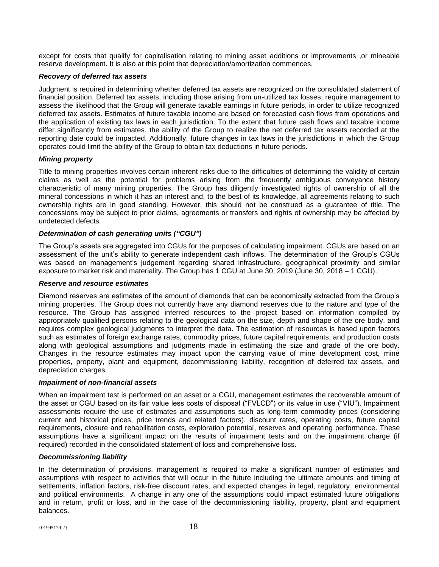except for costs that qualify for capitalisation relating to mining asset additions or improvements ,or mineable reserve development. It is also at this point that depreciation/amortization commences.

## *Recovery of deferred tax assets*

Judgment is required in determining whether deferred tax assets are recognized on the consolidated statement of financial position. Deferred tax assets, including those arising from un-utilized tax losses, require management to assess the likelihood that the Group will generate taxable earnings in future periods, in order to utilize recognized deferred tax assets. Estimates of future taxable income are based on forecasted cash flows from operations and the application of existing tax laws in each jurisdiction. To the extent that future cash flows and taxable income differ significantly from estimates, the ability of the Group to realize the net deferred tax assets recorded at the reporting date could be impacted. Additionally, future changes in tax laws in the jurisdictions in which the Group operates could limit the ability of the Group to obtain tax deductions in future periods.

## *Mining property*

Title to mining properties involves certain inherent risks due to the difficulties of determining the validity of certain claims as well as the potential for problems arising from the frequently ambiguous conveyance history characteristic of many mining properties. The Group has diligently investigated rights of ownership of all the mineral concessions in which it has an interest and, to the best of its knowledge, all agreements relating to such ownership rights are in good standing. However, this should not be construed as a guarantee of title. The concessions may be subject to prior claims, agreements or transfers and rights of ownership may be affected by undetected defects.

## *Determination of cash generating units ("CGU")*

The Group's assets are aggregated into CGUs for the purposes of calculating impairment. CGUs are based on an assessment of the unit's ability to generate independent cash inflows. The determination of the Group's CGUs was based on management's judgement regarding shared infrastructure, geographical proximity and similar exposure to market risk and materiality. The Group has 1 CGU at June 30, 2019 (June 30, 2018 – 1 CGU).

#### *Reserve and resource estimates*

Diamond reserves are estimates of the amount of diamonds that can be economically extracted from the Group's mining properties. The Group does not currently have any diamond reserves due to the nature and type of the resource. The Group has assigned inferred resources to the project based on information compiled by appropriately qualified persons relating to the geological data on the size, depth and shape of the ore body, and requires complex geological judgments to interpret the data. The estimation of resources is based upon factors such as estimates of foreign exchange rates, commodity prices, future capital requirements, and production costs along with geological assumptions and judgments made in estimating the size and grade of the ore body. Changes in the resource estimates may impact upon the carrying value of mine development cost, mine properties, property, plant and equipment, decommissioning liability, recognition of deferred tax assets, and depreciation charges.

#### *Impairment of non-financial assets*

When an impairment test is performed on an asset or a CGU, management estimates the recoverable amount of the asset or CGU based on its fair value less costs of disposal ("FVLCD") or its value in use ("VIU"). Impairment assessments require the use of estimates and assumptions such as long-term commodity prices (considering current and historical prices, price trends and related factors), discount rates, operating costs, future capital requirements, closure and rehabilitation costs, exploration potential, reserves and operating performance. These assumptions have a significant impact on the results of impairment tests and on the impairment charge (if required) recorded in the consolidated statement of loss and comprehensive loss.

#### *Decommissioning liability*

In the determination of provisions, management is required to make a significant number of estimates and assumptions with respect to activities that will occur in the future including the ultimate amounts and timing of settlements, inflation factors, risk-free discount rates, and expected changes in legal, regulatory, environmental and political environments. A change in any one of the assumptions could impact estimated future obligations and in return, profit or loss, and in the case of the decommissioning liability, property, plant and equipment balances.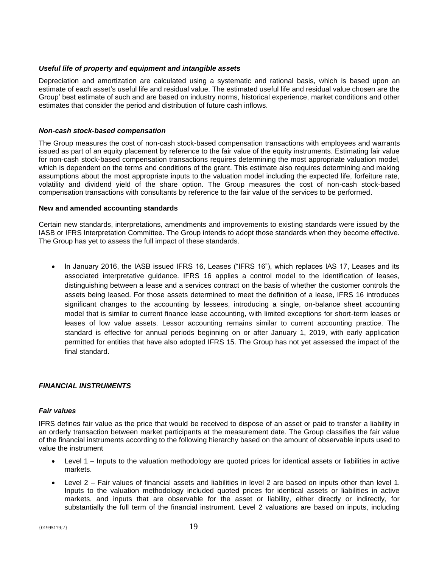#### *Useful life of property and equipment and intangible assets*

Depreciation and amortization are calculated using a systematic and rational basis, which is based upon an estimate of each asset's useful life and residual value. The estimated useful life and residual value chosen are the Group' best estimate of such and are based on industry norms, historical experience, market conditions and other estimates that consider the period and distribution of future cash inflows.

#### *Non-cash stock-based compensation*

The Group measures the cost of non-cash stock-based compensation transactions with employees and warrants issued as part of an equity placement by reference to the fair value of the equity instruments. Estimating fair value for non-cash stock-based compensation transactions requires determining the most appropriate valuation model, which is dependent on the terms and conditions of the grant. This estimate also requires determining and making assumptions about the most appropriate inputs to the valuation model including the expected life, forfeiture rate, volatility and dividend yield of the share option. The Group measures the cost of non-cash stock-based compensation transactions with consultants by reference to the fair value of the services to be performed.

#### **New and amended accounting standards**

Certain new standards, interpretations, amendments and improvements to existing standards were issued by the IASB or IFRS Interpretation Committee. The Group intends to adopt those standards when they become effective. The Group has yet to assess the full impact of these standards.

• In January 2016, the IASB issued IFRS 16, Leases ("IFRS 16"), which replaces IAS 17, Leases and its associated interpretative guidance. IFRS 16 applies a control model to the identification of leases, distinguishing between a lease and a services contract on the basis of whether the customer controls the assets being leased. For those assets determined to meet the definition of a lease, IFRS 16 introduces significant changes to the accounting by lessees, introducing a single, on-balance sheet accounting model that is similar to current finance lease accounting, with limited exceptions for short-term leases or leases of low value assets. Lessor accounting remains similar to current accounting practice. The standard is effective for annual periods beginning on or after January 1, 2019, with early application permitted for entities that have also adopted IFRS 15. The Group has not yet assessed the impact of the final standard.

#### *FINANCIAL INSTRUMENTS*

#### *Fair values*

IFRS defines fair value as the price that would be received to dispose of an asset or paid to transfer a liability in an orderly transaction between market participants at the measurement date. The Group classifies the fair value of the financial instruments according to the following hierarchy based on the amount of observable inputs used to value the instrument

- Level 1 Inputs to the valuation methodology are quoted prices for identical assets or liabilities in active markets.
- Level 2 Fair values of financial assets and liabilities in level 2 are based on inputs other than level 1. Inputs to the valuation methodology included quoted prices for identical assets or liabilities in active markets, and inputs that are observable for the asset or liability, either directly or indirectly, for substantially the full term of the financial instrument. Level 2 valuations are based on inputs, including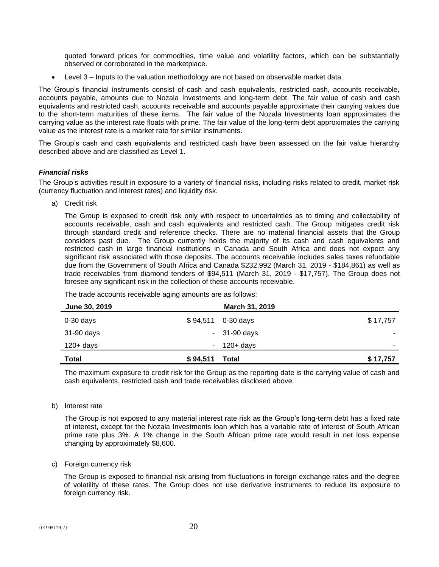quoted forward prices for commodities, time value and volatility factors, which can be substantially observed or corroborated in the marketplace.

• Level 3 – Inputs to the valuation methodology are not based on observable market data.

The Group's financial instruments consist of cash and cash equivalents, restricted cash, accounts receivable, accounts payable, amounts due to Nozala Investments and long-term debt. The fair value of cash and cash equivalents and restricted cash, accounts receivable and accounts payable approximate their carrying values due to the short-term maturities of these items. The fair value of the Nozala Investments loan approximates the carrying value as the interest rate floats with prime. The fair value of the long-term debt approximates the carrying value as the interest rate is a market rate for similar instruments.

The Group's cash and cash equivalents and restricted cash have been assessed on the fair value hierarchy described above and are classified as Level 1.

## *Financial risks*

The Group's activities result in exposure to a variety of financial risks, including risks related to credit, market risk (currency fluctuation and interest rates) and liquidity risk.

a) Credit risk

The Group is exposed to credit risk only with respect to uncertainties as to timing and collectability of accounts receivable, cash and cash equivalents and restricted cash. The Group mitigates credit risk through standard credit and reference checks. There are no material financial assets that the Group considers past due. The Group currently holds the majority of its cash and cash equivalents and restricted cash in large financial institutions in Canada and South Africa and does not expect any significant risk associated with those deposits. The accounts receivable includes sales taxes refundable due from the Government of South Africa and Canada \$232,992 (March 31, 2019 - \$184,861) as well as trade receivables from diamond tenders of \$94,511 (March 31, 2019 - \$17,757). The Group does not foresee any significant risk in the collection of these accounts receivable.

| June 30, 2019 |          |                    |          |
|---------------|----------|--------------------|----------|
| $0-30$ days   |          | \$94,511 0-30 days | \$17,757 |
| 31-90 days    |          | $-31-90$ days      |          |
| 120+ days     |          | $-120+ days$       | ۰        |
| <b>Total</b>  | \$94,511 | Total              | \$17,757 |

The trade accounts receivable aging amounts are as follows:

The maximum exposure to credit risk for the Group as the reporting date is the carrying value of cash and cash equivalents, restricted cash and trade receivables disclosed above.

b) Interest rate

The Group is not exposed to any material interest rate risk as the Group's long-term debt has a fixed rate of interest, except for the Nozala Investments loan which has a variable rate of interest of South African prime rate plus 3%. A 1% change in the South African prime rate would result in net loss expense changing by approximately \$8,600.

c) Foreign currency risk

The Group is exposed to financial risk arising from fluctuations in foreign exchange rates and the degree of volatility of these rates. The Group does not use derivative instruments to reduce its exposure to foreign currency risk.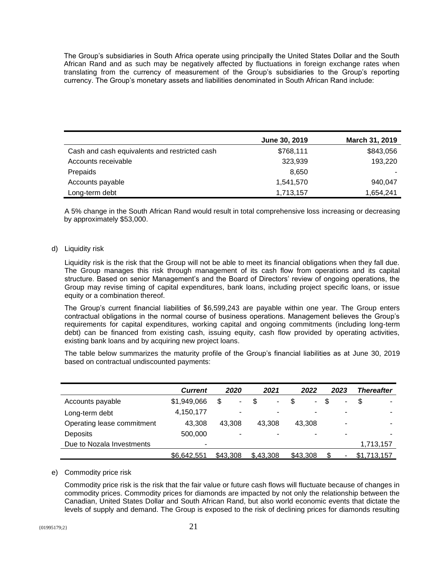The Group's subsidiaries in South Africa operate using principally the United States Dollar and the South African Rand and as such may be negatively affected by fluctuations in foreign exchange rates when translating from the currency of measurement of the Group's subsidiaries to the Group's reporting currency. The Group's monetary assets and liabilities denominated in South African Rand include:

|                                               | June 30, 2019 | March 31, 2019 |
|-----------------------------------------------|---------------|----------------|
| Cash and cash equivalents and restricted cash | \$768,111     | \$843,056      |
| Accounts receivable                           | 323,939       | 193,220        |
| Prepaids                                      | 8,650         |                |
| Accounts payable                              | 1,541,570     | 940,047        |
| Long-term debt                                | 1,713,157     | 1,654,241      |

A 5% change in the South African Rand would result in total comprehensive loss increasing or decreasing by approximately \$53,000.

#### d) Liquidity risk

Liquidity risk is the risk that the Group will not be able to meet its financial obligations when they fall due. The Group manages this risk through management of its cash flow from operations and its capital structure. Based on senior Management's and the Board of Directors' review of ongoing operations, the Group may revise timing of capital expenditures, bank loans, including project specific loans, or issue equity or a combination thereof.

The Group's current financial liabilities of \$6,599,243 are payable within one year. The Group enters contractual obligations in the normal course of business operations. Management believes the Group's requirements for capital expenditures, working capital and ongoing commitments (including long-term debt) can be financed from existing cash, issuing equity, cash flow provided by operating activities, existing bank loans and by acquiring new project loans.

The table below summarizes the maturity profile of the Group's financial liabilities as at June 30, 2019 based on contractual undiscounted payments:

|                            | <b>Current</b> | 2020     | 2021      | 2022                     | 2023 | <b>Thereafter</b> |
|----------------------------|----------------|----------|-----------|--------------------------|------|-------------------|
| Accounts payable           | \$1,949,066    | \$<br>٠  | \$<br>۰.  | \$<br>۰                  | \$.  | \$                |
| Long-term debt             | 4,150,177      |          | ۰         |                          | ۰    |                   |
| Operating lease commitment | 43.308         | 43.308   | 43.308    | 43.308                   | ۰    |                   |
| Deposits                   | 500,000        | ۰        | ۰         | $\overline{\phantom{0}}$ | -    | ۰                 |
| Due to Nozala Investments  | ۰              |          |           |                          |      | 1,713,157         |
|                            | \$6,642,551    | \$43,308 | \$.43.308 | \$43,308                 |      | \$1,713,157       |

#### e) Commodity price risk

Commodity price risk is the risk that the fair value or future cash flows will fluctuate because of changes in commodity prices. Commodity prices for diamonds are impacted by not only the relationship between the Canadian, United States Dollar and South African Rand, but also world economic events that dictate the levels of supply and demand. The Group is exposed to the risk of declining prices for diamonds resulting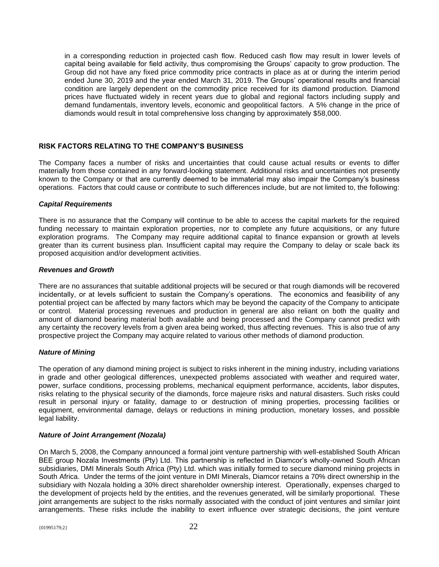in a corresponding reduction in projected cash flow. Reduced cash flow may result in lower levels of capital being available for field activity, thus compromising the Groups' capacity to grow production. The Group did not have any fixed price commodity price contracts in place as at or during the interim period ended June 30, 2019 and the year ended March 31, 2019. The Groups' operational results and financial condition are largely dependent on the commodity price received for its diamond production. Diamond prices have fluctuated widely in recent years due to global and regional factors including supply and demand fundamentals, inventory levels, economic and geopolitical factors. A 5% change in the price of diamonds would result in total comprehensive loss changing by approximately \$58,000.

## **RISK FACTORS RELATING TO THE COMPANY'S BUSINESS**

The Company faces a number of risks and uncertainties that could cause actual results or events to differ materially from those contained in any forward-looking statement. Additional risks and uncertainties not presently known to the Company or that are currently deemed to be immaterial may also impair the Company's business operations. Factors that could cause or contribute to such differences include, but are not limited to, the following:

#### *Capital Requirements*

There is no assurance that the Company will continue to be able to access the capital markets for the required funding necessary to maintain exploration properties, nor to complete any future acquisitions, or any future exploration programs. The Company may require additional capital to finance expansion or growth at levels greater than its current business plan. Insufficient capital may require the Company to delay or scale back its proposed acquisition and/or development activities.

#### *Revenues and Growth*

There are no assurances that suitable additional projects will be secured or that rough diamonds will be recovered incidentally, or at levels sufficient to sustain the Company's operations. The economics and feasibility of any potential project can be affected by many factors which may be beyond the capacity of the Company to anticipate or control. Material processing revenues and production in general are also reliant on both the quality and amount of diamond bearing material both available and being processed and the Company cannot predict with any certainty the recovery levels from a given area being worked, thus affecting revenues. This is also true of any prospective project the Company may acquire related to various other methods of diamond production.

## *Nature of Mining*

The operation of any diamond mining project is subject to risks inherent in the mining industry, including variations in grade and other geological differences, unexpected problems associated with weather and required water, power, surface conditions, processing problems, mechanical equipment performance, accidents, labor disputes, risks relating to the physical security of the diamonds, force majeure risks and natural disasters. Such risks could result in personal injury or fatality, damage to or destruction of mining properties, processing facilities or equipment, environmental damage, delays or reductions in mining production, monetary losses, and possible legal liability.

## *Nature of Joint Arrangement (Nozala)*

On March 5, 2008, the Company announced a formal joint venture partnership with well-established South African BEE group Nozala Investments (Pty) Ltd. This partnership is reflected in Diamcor's wholly-owned South African subsidiaries, DMI Minerals South Africa (Pty) Ltd. which was initially formed to secure diamond mining projects in South Africa. Under the terms of the joint venture in DMI Minerals, Diamcor retains a 70% direct ownership in the subsidiary with Nozala holding a 30% direct shareholder ownership interest. Operationally, expenses charged to the development of projects held by the entities, and the revenues generated, will be similarly proportional. These joint arrangements are subject to the risks normally associated with the conduct of joint ventures and similar joint arrangements. These risks include the inability to exert influence over strategic decisions, the joint venture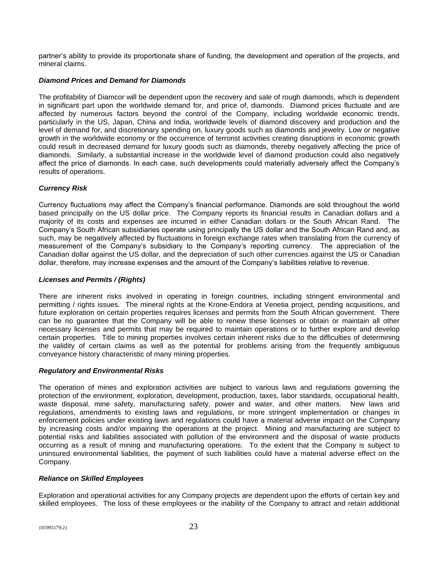partner's ability to provide its proportionate share of funding, the development and operation of the projects, and mineral claims.

## *Diamond Prices and Demand for Diamonds*

The profitability of Diamcor will be dependent upon the recovery and sale of rough diamonds, which is dependent in significant part upon the worldwide demand for, and price of, diamonds. Diamond prices fluctuate and are affected by numerous factors beyond the control of the Company, including worldwide economic trends, particularly in the US, Japan, China and India, worldwide levels of diamond discovery and production and the level of demand for, and discretionary spending on, luxury goods such as diamonds and jewelry. Low or negative growth in the worldwide economy or the occurrence of terrorist activities creating disruptions in economic growth could result in decreased demand for luxury goods such as diamonds, thereby negatively affecting the price of diamonds. Similarly, a substantial increase in the worldwide level of diamond production could also negatively affect the price of diamonds. In each case, such developments could materially adversely affect the Company's results of operations.

## *Currency Risk*

Currency fluctuations may affect the Company's financial performance. Diamonds are sold throughout the world based principally on the US dollar price. The Company reports its financial results in Canadian dollars and a majority of its costs and expenses are incurred in either Canadian dollars or the South African Rand. The Company's South African subsidiaries operate using principally the US dollar and the South African Rand and, as such, may be negatively affected by fluctuations in foreign exchange rates when translating from the currency of measurement of the Company's subsidiary to the Company's reporting currency. The appreciation of the Canadian dollar against the US dollar, and the depreciation of such other currencies against the US or Canadian dollar, therefore, may increase expenses and the amount of the Company's liabilities relative to revenue.

## *Licenses and Permits / (Rights)*

There are inherent risks involved in operating in foreign countries, including stringent environmental and permitting / rights issues. The mineral rights at the Krone-Endora at Venetia project, pending acquisitions, and future exploration on certain properties requires licenses and permits from the South African government. There can be no guarantee that the Company will be able to renew these licenses or obtain or maintain all other necessary licenses and permits that may be required to maintain operations or to further explore and develop certain properties. Title to mining properties involves certain inherent risks due to the difficulties of determining the validity of certain claims as well as the potential for problems arising from the frequently ambiguous conveyance history characteristic of many mining properties.

#### *Regulatory and Environmental Risks*

The operation of mines and exploration activities are subject to various laws and regulations governing the protection of the environment, exploration, development, production, taxes, labor standards, occupational health, waste disposal, mine safety, manufacturing safety, power and water, and other matters. New laws and regulations, amendments to existing laws and regulations, or more stringent implementation or changes in enforcement policies under existing laws and regulations could have a material adverse impact on the Company by increasing costs and/or impairing the operations at the project. Mining and manufacturing are subject to potential risks and liabilities associated with pollution of the environment and the disposal of waste products occurring as a result of mining and manufacturing operations. To the extent that the Company is subject to uninsured environmental liabilities, the payment of such liabilities could have a material adverse effect on the Company.

#### *Reliance on Skilled Employees*

Exploration and operational activities for any Company projects are dependent upon the efforts of certain key and skilled employees. The loss of these employees or the inability of the Company to attract and retain additional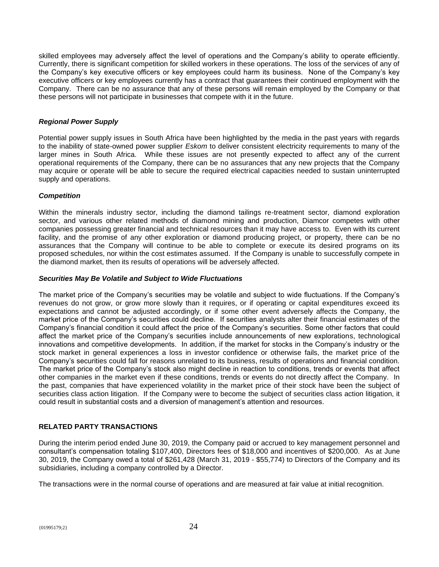skilled employees may adversely affect the level of operations and the Company's ability to operate efficiently. Currently, there is significant competition for skilled workers in these operations. The loss of the services of any of the Company's key executive officers or key employees could harm its business. None of the Company's key executive officers or key employees currently has a contract that guarantees their continued employment with the Company. There can be no assurance that any of these persons will remain employed by the Company or that these persons will not participate in businesses that compete with it in the future.

## *Regional Power Supply*

Potential power supply issues in South Africa have been highlighted by the media in the past years with regards to the inability of state-owned power supplier *Eskom* to deliver consistent electricity requirements to many of the larger mines in South Africa. While these issues are not presently expected to affect any of the current operational requirements of the Company, there can be no assurances that any new projects that the Company may acquire or operate will be able to secure the required electrical capacities needed to sustain uninterrupted supply and operations.

## *Competition*

Within the minerals industry sector, including the diamond tailings re-treatment sector, diamond exploration sector, and various other related methods of diamond mining and production, Diamcor competes with other companies possessing greater financial and technical resources than it may have access to. Even with its current facility, and the promise of any other exploration or diamond producing project, or property, there can be no assurances that the Company will continue to be able to complete or execute its desired programs on its proposed schedules, nor within the cost estimates assumed. If the Company is unable to successfully compete in the diamond market, then its results of operations will be adversely affected.

#### *Securities May Be Volatile and Subject to Wide Fluctuations*

The market price of the Company's securities may be volatile and subject to wide fluctuations. If the Company's revenues do not grow, or grow more slowly than it requires, or if operating or capital expenditures exceed its expectations and cannot be adjusted accordingly, or if some other event adversely affects the Company, the market price of the Company's securities could decline. If securities analysts alter their financial estimates of the Company's financial condition it could affect the price of the Company's securities. Some other factors that could affect the market price of the Company's securities include announcements of new explorations, technological innovations and competitive developments. In addition, if the market for stocks in the Company's industry or the stock market in general experiences a loss in investor confidence or otherwise fails, the market price of the Company's securities could fall for reasons unrelated to its business, results of operations and financial condition. The market price of the Company's stock also might decline in reaction to conditions, trends or events that affect other companies in the market even if these conditions, trends or events do not directly affect the Company. In the past, companies that have experienced volatility in the market price of their stock have been the subject of securities class action litigation. If the Company were to become the subject of securities class action litigation, it could result in substantial costs and a diversion of management's attention and resources.

## **RELATED PARTY TRANSACTIONS**

During the interim period ended June 30, 2019, the Company paid or accrued to key management personnel and consultant's compensation totaling \$107,400, Directors fees of \$18,000 and incentives of \$200,000. As at June 30, 2019, the Company owed a total of \$261,428 (March 31, 2019 - \$55,774) to Directors of the Company and its subsidiaries, including a company controlled by a Director.

The transactions were in the normal course of operations and are measured at fair value at initial recognition.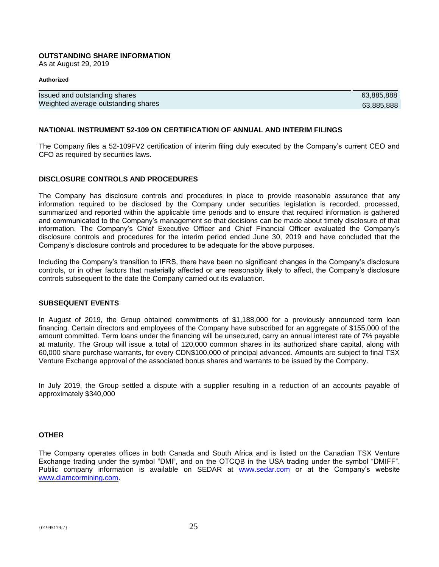#### **OUTSTANDING SHARE INFORMATION**

As at August 29, 2019

#### **Authorized**

| Issued and outstanding shares       | 63.885.888 |
|-------------------------------------|------------|
| Weighted average outstanding shares | 63.885.888 |

#### **NATIONAL INSTRUMENT 52-109 ON CERTIFICATION OF ANNUAL AND INTERIM FILINGS**

The Company files a 52-109FV2 certification of interim filing duly executed by the Company's current CEO and CFO as required by securities laws.

## **DISCLOSURE CONTROLS AND PROCEDURES**

The Company has disclosure controls and procedures in place to provide reasonable assurance that any information required to be disclosed by the Company under securities legislation is recorded, processed, summarized and reported within the applicable time periods and to ensure that required information is gathered and communicated to the Company's management so that decisions can be made about timely disclosure of that information. The Company's Chief Executive Officer and Chief Financial Officer evaluated the Company's disclosure controls and procedures for the interim period ended June 30, 2019 and have concluded that the Company's disclosure controls and procedures to be adequate for the above purposes.

Including the Company's transition to IFRS, there have been no significant changes in the Company's disclosure controls, or in other factors that materially affected or are reasonably likely to affect, the Company's disclosure controls subsequent to the date the Company carried out its evaluation.

## **SUBSEQUENT EVENTS**

In August of 2019, the Group obtained commitments of \$1,188,000 for a previously announced term loan financing. Certain directors and employees of the Company have subscribed for an aggregate of \$155,000 of the amount committed. Term loans under the financing will be unsecured, carry an annual interest rate of 7% payable at maturity. The Group will issue a total of 120,000 common shares in its authorized share capital, along with 60,000 share purchase warrants, for every CDN\$100,000 of principal advanced. Amounts are subject to final TSX Venture Exchange approval of the associated bonus shares and warrants to be issued by the Company.

In July 2019, the Group settled a dispute with a supplier resulting in a reduction of an accounts payable of approximately \$340,000

#### **OTHER**

The Company operates offices in both Canada and South Africa and is listed on the Canadian TSX Venture Exchange trading under the symbol "DMI", and on the OTCQB in the USA trading under the symbol "DMIFF". Public company information is available on SEDAR at [www.sedar.com](http://www.sedar.com/) or at the Company's website [www.diamcormining.com.](http://www.diamcormining.com/)